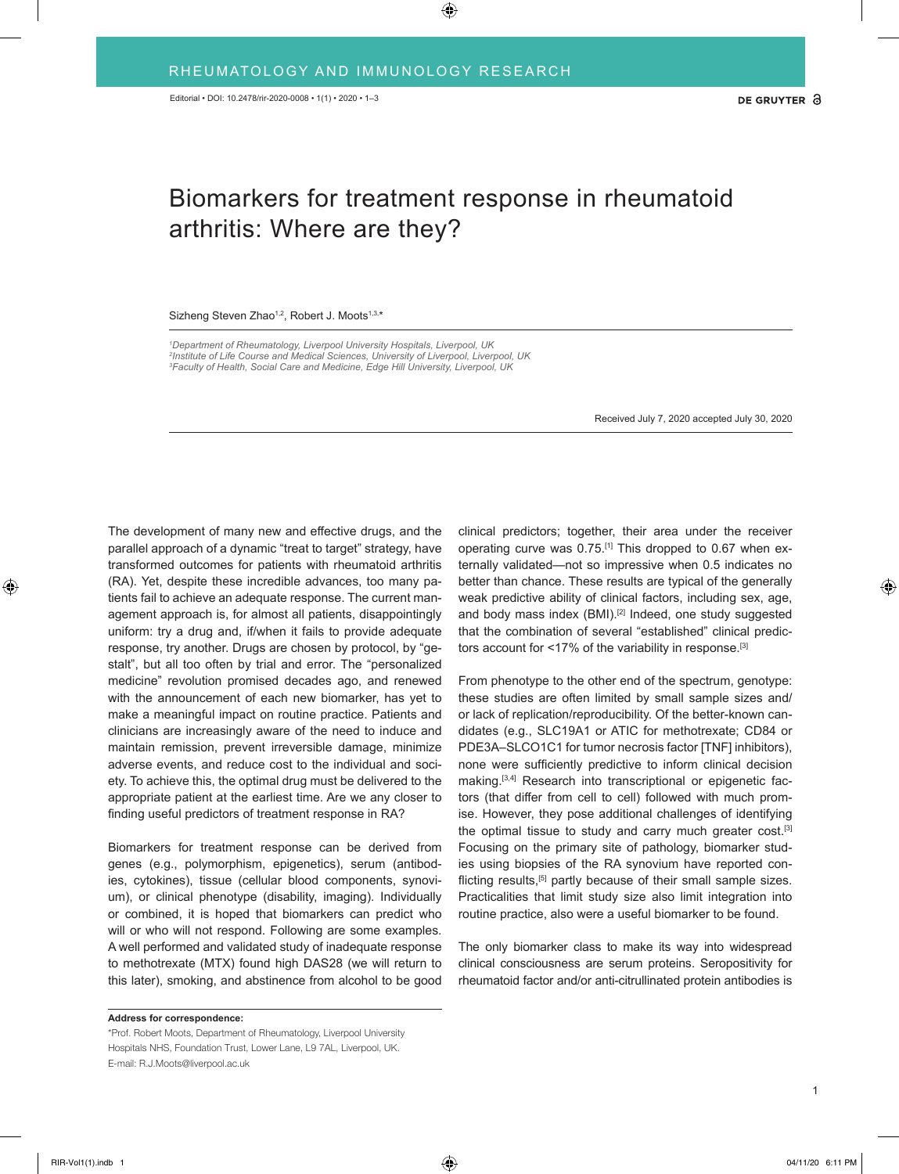## Biomarkers for treatment response in rheumatoid arthritis: Where are they?

## Sizheng Steven Zhao<sup>1,2</sup>, Robert J. Moots<sup>1,3,\*</sup>

*1 Department of Rheumatology, Liverpool University Hospitals, Liverpool, UK 2 Institute of Life Course and Medical Sciences, University of Liverpool, Liverpool, UK 3 Faculty of Health, Social Care and Medicine, Edge Hill University, Liverpool, UK*

Received July 7, 2020 accepted July 30, 2020

The development of many new and effective drugs, and the parallel approach of a dynamic "treat to target" strategy, have transformed outcomes for patients with rheumatoid arthritis (RA). Yet, despite these incredible advances, too many patients fail to achieve an adequate response. The current management approach is, for almost all patients, disappointingly uniform: try a drug and, if/when it fails to provide adequate response, try another. Drugs are chosen by protocol, by "gestalt", but all too often by trial and error. The "personalized medicine" revolution promised decades ago, and renewed with the announcement of each new biomarker, has yet to make a meaningful impact on routine practice. Patients and clinicians are increasingly aware of the need to induce and maintain remission, prevent irreversible damage, minimize adverse events, and reduce cost to the individual and society. To achieve this, the optimal drug must be delivered to the appropriate patient at the earliest time. Are we any closer to finding useful predictors of treatment response in RA?

Biomarkers for treatment response can be derived from genes (e.g., polymorphism, epigenetics), serum (antibodies, cytokines), tissue (cellular blood components, synovium), or clinical phenotype (disability, imaging). Individually or combined, it is hoped that biomarkers can predict who will or who will not respond. Following are some examples. A well performed and validated study of inadequate response to methotrexate (MTX) found high DAS28 (we will return to this later), smoking, and abstinence from alcohol to be good

**Address for correspondence:**

clinical predictors; together, their area under the receiver operating curve was 0.75.[1] This dropped to 0.67 when externally validated—not so impressive when 0.5 indicates no better than chance. These results are typical of the generally weak predictive ability of clinical factors, including sex, age, and body mass index (BMI).<sup>[2]</sup> Indeed, one study suggested that the combination of several "established" clinical predictors account for <17% of the variability in response.<sup>[3]</sup>

From phenotype to the other end of the spectrum, genotype: these studies are often limited by small sample sizes and/ or lack of replication/reproducibility. Of the better-known candidates (e.g., SLC19A1 or ATIC for methotrexate; CD84 or PDE3A–SLCO1C1 for tumor necrosis factor [TNF] inhibitors), none were sufficiently predictive to inform clinical decision making.<sup>[3,4]</sup> Research into transcriptional or epigenetic factors (that differ from cell to cell) followed with much promise. However, they pose additional challenges of identifying the optimal tissue to study and carry much greater cost.<sup>[3]</sup> Focusing on the primary site of pathology, biomarker studies using biopsies of the RA synovium have reported conflicting results,<sup>[5]</sup> partly because of their small sample sizes. Practicalities that limit study size also limit integration into routine practice, also were a useful biomarker to be found.

The only biomarker class to make its way into widespread clinical consciousness are serum proteins. Seropositivity for rheumatoid factor and/or anti-citrullinated protein antibodies is

<sup>\*</sup>Prof. Robert Moots, Department of Rheumatology, Liverpool University Hospitals NHS, Foundation Trust, Lower Lane, L9 7AL, Liverpool, UK. E-mail: R.J.Moots@liverpool.ac.uk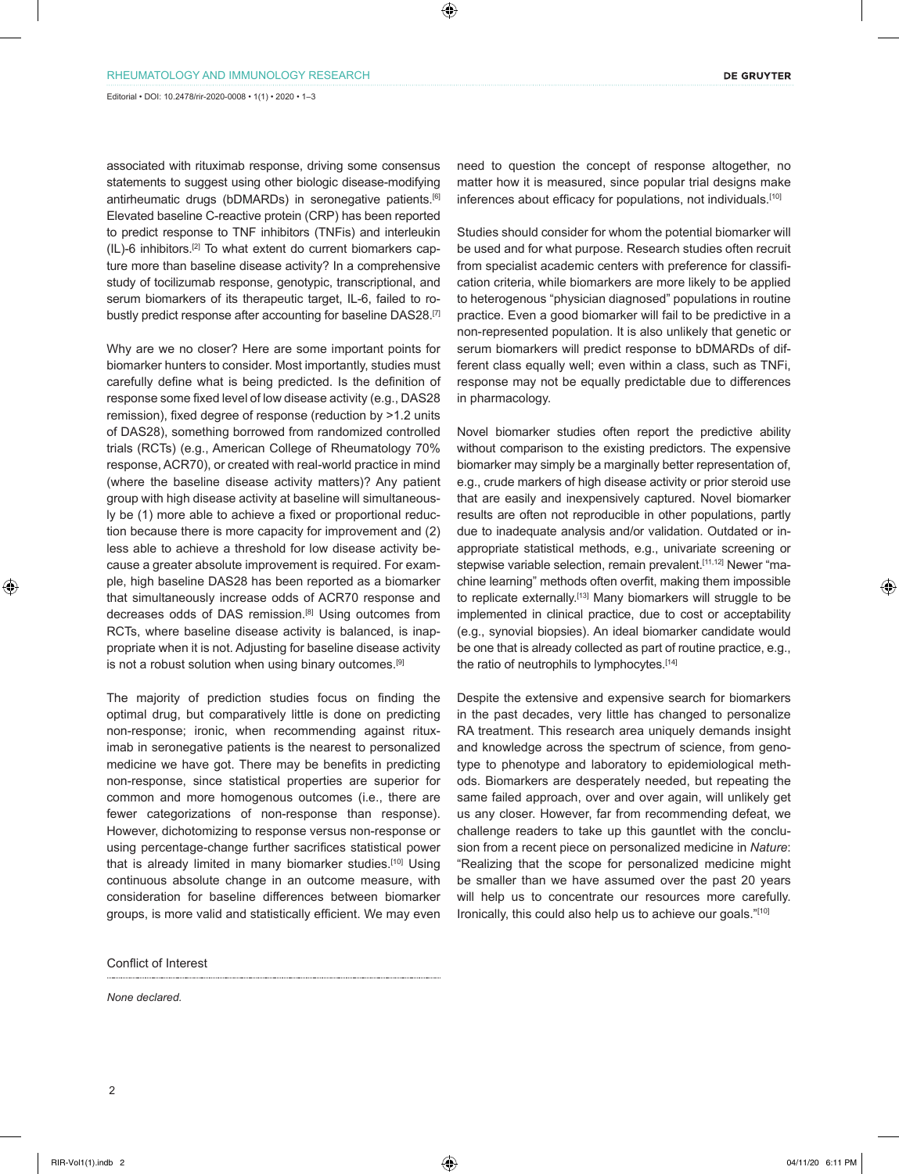associated with rituximab response, driving some consensus statements to suggest using other biologic disease-modifying antirheumatic drugs (bDMARDs) in seronegative patients.[6] Elevated baseline C-reactive protein (CRP) has been reported to predict response to TNF inhibitors (TNFis) and interleukin (IL)-6 inhibitors.[2] To what extent do current biomarkers capture more than baseline disease activity? In a comprehensive study of tocilizumab response, genotypic, transcriptional, and serum biomarkers of its therapeutic target, IL-6, failed to robustly predict response after accounting for baseline DAS28.<sup>[7]</sup>

Why are we no closer? Here are some important points for biomarker hunters to consider. Most importantly, studies must carefully define what is being predicted. Is the definition of response some fixed level of low disease activity (e.g., DAS28 remission), fixed degree of response (reduction by >1.2 units of DAS28), something borrowed from randomized controlled trials (RCTs) (e.g., American College of Rheumatology 70% response, ACR70), or created with real-world practice in mind (where the baseline disease activity matters)? Any patient group with high disease activity at baseline will simultaneously be (1) more able to achieve a fixed or proportional reduction because there is more capacity for improvement and (2) less able to achieve a threshold for low disease activity because a greater absolute improvement is required. For example, high baseline DAS28 has been reported as a biomarker that simultaneously increase odds of ACR70 response and decreases odds of DAS remission.<sup>[8]</sup> Using outcomes from RCTs, where baseline disease activity is balanced, is inappropriate when it is not. Adjusting for baseline disease activity is not a robust solution when using binary outcomes.[9]

The majority of prediction studies focus on finding the optimal drug, but comparatively little is done on predicting non-response; ironic, when recommending against rituximab in seronegative patients is the nearest to personalized medicine we have got. There may be benefits in predicting non-response, since statistical properties are superior for common and more homogenous outcomes (i.e., there are fewer categorizations of non-response than response). However, dichotomizing to response versus non-response or using percentage-change further sacrifices statistical power that is already limited in many biomarker studies.<sup>[10]</sup> Using continuous absolute change in an outcome measure, with consideration for baseline differences between biomarker groups, is more valid and statistically efficient. We may even

Conflict of Interest

*None declared.*

need to question the concept of response altogether, no matter how it is measured, since popular trial designs make inferences about efficacy for populations, not individuals.<sup>[10]</sup>

Studies should consider for whom the potential biomarker will be used and for what purpose. Research studies often recruit from specialist academic centers with preference for classification criteria, while biomarkers are more likely to be applied to heterogenous "physician diagnosed" populations in routine practice. Even a good biomarker will fail to be predictive in a non-represented population. It is also unlikely that genetic or serum biomarkers will predict response to bDMARDs of different class equally well; even within a class, such as TNFi, response may not be equally predictable due to differences in pharmacology.

Novel biomarker studies often report the predictive ability without comparison to the existing predictors. The expensive biomarker may simply be a marginally better representation of, e.g., crude markers of high disease activity or prior steroid use that are easily and inexpensively captured. Novel biomarker results are often not reproducible in other populations, partly due to inadequate analysis and/or validation. Outdated or inappropriate statistical methods, e.g., univariate screening or stepwise variable selection, remain prevalent.<sup>[11,12]</sup> Newer "machine learning" methods often overfit, making them impossible to replicate externally.<sup>[13]</sup> Many biomarkers will struggle to be implemented in clinical practice, due to cost or acceptability (e.g., synovial biopsies). An ideal biomarker candidate would be one that is already collected as part of routine practice, e.g., the ratio of neutrophils to lymphocytes.<sup>[14]</sup>

Despite the extensive and expensive search for biomarkers in the past decades, very little has changed to personalize RA treatment. This research area uniquely demands insight and knowledge across the spectrum of science, from genotype to phenotype and laboratory to epidemiological methods. Biomarkers are desperately needed, but repeating the same failed approach, over and over again, will unlikely get us any closer. However, far from recommending defeat, we challenge readers to take up this gauntlet with the conclusion from a recent piece on personalized medicine in *Nature*: "Realizing that the scope for personalized medicine might be smaller than we have assumed over the past 20 years will help us to concentrate our resources more carefully. Ironically, this could also help us to achieve our goals."[10]